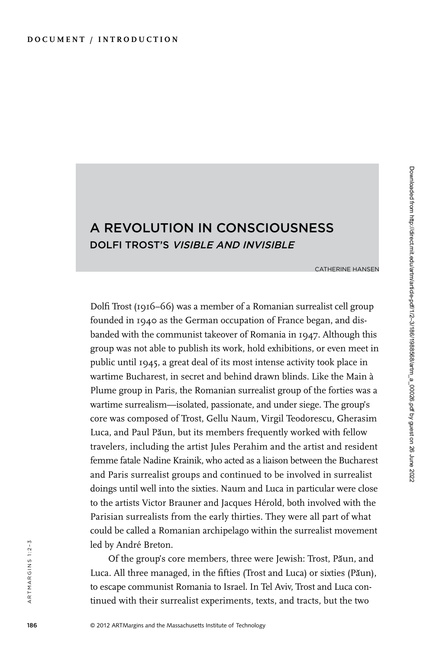## A Revolution in Consciousness Dolfi Trost's Visible and Invisible

Catherine Hansen

Dolfi Trost (1916–66) was a member of a Romanian surrealist cell group founded in 1940 as the German occupation of France began, and disbanded with the communist takeover of Romania in 1947. Although this group was not able to publish its work, hold exhibitions, or even meet in public until 1945, a great deal of its most intense activity took place in wartime Bucharest, in secret and behind drawn blinds. Like the Main à Plume group in Paris, the Romanian surrealist group of the forties was a wartime surrealism—isolated, passionate, and under siege. The group's core was composed of Trost, Gellu Naum, Virgil Teodorescu, Gherasim Luca, and Paul Păun, but its members frequently worked with fellow travelers, including the artist Jules Perahim and the artist and resident femme fatale Nadine Krainik, who acted as a liaison between the Bucharest and Paris surrealist groups and continued to be involved in surrealist doings until well into the sixties. Naum and Luca in particular were close to the artists Victor Brauner and Jacques Hérold, both involved with the Parisian surrealists from the early thirties. They were all part of what could be called a Romanian archipelago within the surrealist movement led by André Breton.

Of the group's core members, three were Jewish: Trost, Păun, and Luca. All three managed, in the fifties (Trost and Luca) or sixties (Păun), to escape communist Romania to Israel. In Tel Aviv, Trost and Luca continued with their surrealist experiments, texts, and tracts, but the two

artmargins 1:2–3

ARTMARGINS 1:2-3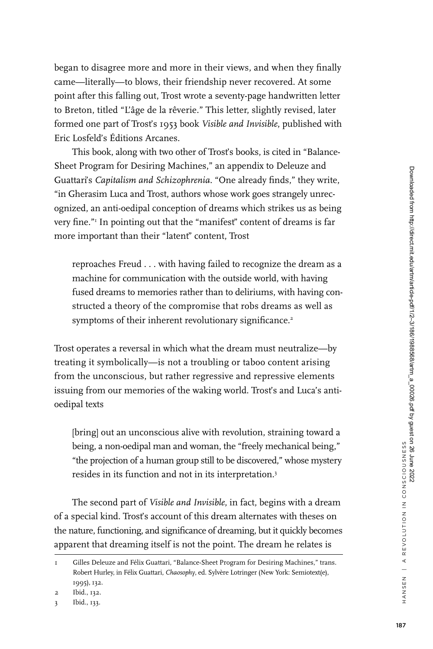began to disagree more and more in their views, and when they finally came—literally—to blows, their friendship never recovered. At some point after this falling out, Trost wrote a seventy-page handwritten letter to Breton, titled "L'âge de la rêverie." This letter, slightly revised, later formed one part of Trost's 1953 book *Visible and Invisible*, published with Eric Losfeld's Éditions Arcanes.

This book, along with two other of Trost's books, is cited in "Balance-Sheet Program for Desiring Machines," an appendix to Deleuze and Guattari's *Capitalism and Schizophrenia*. "One already finds," they write, "in Gherasim Luca and Trost, authors whose work goes strangely unrecognized, an anti-oedipal conception of dreams which strikes us as being very fine."1 In pointing out that the "manifest" content of dreams is far more important than their "latent" content, Trost

reproaches Freud . . . with having failed to recognize the dream as a machine for communication with the outside world, with having fused dreams to memories rather than to deliriums, with having constructed a theory of the compromise that robs dreams as well as symptoms of their inherent revolutionary significance.<sup>2</sup>

Trost operates a reversal in which what the dream must neutralize—by treating it symbolically—is not a troubling or taboo content arising from the unconscious, but rather regressive and repressive elements issuing from our memories of the waking world. Trost's and Luca's antioedipal texts

[bring] out an unconscious alive with revolution, straining toward a being, a non-oedipal man and woman, the "freely mechanical being," "the projection of a human group still to be discovered," whose mystery resides in its function and not in its interpretation.3

The second part of *Visible and Invisible*, in fact, begins with a dream of a special kind. Trost's account of this dream alternates with theses on the nature, functioning, and significance of dreaming, but it quickly becomes apparent that dreaming itself is not the point. The dream he relates is

Gilles Deleuze and Félix Guattari, "Balance-Sheet Program for Desiring Machines," trans. Robert Hurley, in Félix Guattari, *Chaosophy*, ed. Sylvère Lotringer (New York: Semiotext(e), 1995), 132.

<sup>2</sup> Ibid., 132.

<sup>3</sup> Ibid., 133.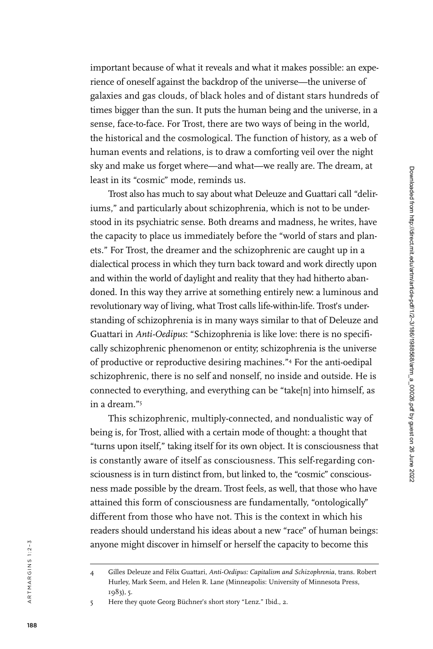important because of what it reveals and what it makes possible: an expe rience of oneself against the backdrop of the universe—the universe of galaxies and gas clouds, of black holes and of distant stars hundreds of times bigger than the sun. It puts the human being and the universe, in a sense, face-to-face. For Trost, there are two ways of being in the world, the historical and the cosmological. The function of history, as a web of human events and relations, is to draw a comforting veil over the night sky and make us forget where—and what—we really are. The dream, at least in its "cosmic" mode, reminds us.

Trost also has much to say about what Deleuze and Guattari call "deliriums," and particularly about schizophrenia, which is not to be understood in its psychiatric sense. Both dreams and madness, he writes, have the capacity to place us immediately before the "world of stars and plan ets." For Trost, the dreamer and the schizophrenic are caught up in a dialectical process in which they turn back toward and work directly upon and within the world of daylight and reality that they had hitherto aban doned. In this way they arrive at something entirely new: a luminous and revolutionary way of living, what Trost calls life-within-life. Trost's understanding of schizophrenia is in many ways similar to that of Deleuze and Guattari in *Anti-Oedipus*: "Schizophrenia is like love: there is no specifi cally schizophrenic phenomenon or entity; schizophrenia is the universe of productive or reproductive desiring machines." 4 For the anti-oedipal schizophrenic, there is no self and nonself, no inside and outside. He is connected to everything, and everything can be "take[n] into himself, as in a dream." 5

This schizophrenic, multiply-connected, and nondualistic way of being is, for Trost, allied with a certain mode of thought: a thought that "turns upon itself," taking itself for its own object. It is consciousness that is constantly aware of itself as consciousness. This self-regarding con sciousness is in turn distinct from, but linked to, the "cosmic" conscious ness made possible by the dream. Trost feels, as well, that those who have attained this form of consciousness are fundamentally, "ontologically" different from those who have not. This is the context in which his readers should understand his ideas about a new "race" of human beings: anyone might discover in himself or herself the capacity to become this

<sup>4</sup> Gilles Deleuze and Félix Guattari, *Anti-Oedipus: Capitalism and Schizophrenia*, trans. Robert Hurley, Mark Seem, and Helen R. Lane (Minneapolis: University of Minnesota Press, 1983), 5.

<sup>5</sup> Here they quote Georg Büchner's short story "Lenz." Ibid., 2.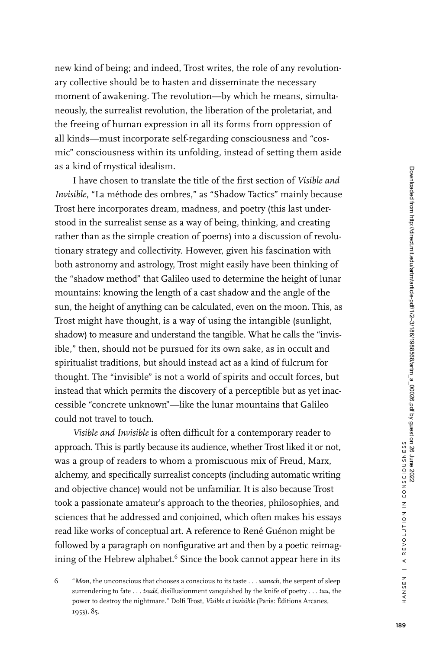new kind of being; and indeed, Trost writes, the role of any revolutionary collective should be to hasten and disseminate the necessary moment of awakening. The revolution—by which he means, simultaneously, the surrealist revolution, the liberation of the proletariat, and the freeing of human expression in all its forms from oppression of all kinds—must incorporate self-regarding consciousness and "cosmic" consciousness within its unfolding, instead of setting them aside as a kind of mystical idealism.

I have chosen to translate the title of the first section of *Visible and Invisible*, "La méthode des ombres," as "Shadow Tactics" mainly because Trost here incorporates dream, madness, and poetry (this last understood in the surrealist sense as a way of being, thinking, and creating rather than as the simple creation of poems) into a discussion of revolutionary strategy and collectivity. However, given his fascination with both astronomy and astrology, Trost might easily have been thinking of the "shadow method" that Galileo used to determine the height of lunar mountains: knowing the length of a cast shadow and the angle of the sun, the height of anything can be calculated, even on the moon. This, as Trost might have thought, is a way of using the intangible (sunlight, shadow) to measure and understand the tangible. What he calls the "invisible," then, should not be pursued for its own sake, as in occult and spiritualist traditions, but should instead act as a kind of fulcrum for thought. The "invisible" is not a world of spirits and occult forces, but instead that which permits the discovery of a perceptible but as yet inaccessible "concrete unknown"—like the lunar mountains that Galileo could not travel to touch.

*Visible and Invisible* is often difficult for a contemporary reader to approach. This is partly because its audience, whether Trost liked it or not, was a group of readers to whom a promiscuous mix of Freud, Marx, alchemy, and specifically surrealist concepts (including automatic writing and objective chance) would not be unfamiliar. It is also because Trost took a passionate amateur's approach to the theories, philosophies, and sciences that he addressed and conjoined, which often makes his essays read like works of conceptual art. A reference to René Guénon might be followed by a paragraph on nonfigurative art and then by a poetic reimagining of the Hebrew alphabet.<sup>6</sup> Since the book cannot appear here in its

<sup>6</sup> "*Mem*, the unconscious that chooses a conscious to its taste . . . *samech*, the serpent of sleep surrendering to fate . . . *tsadé*, disillusionment vanquished by the knife of poetry . . . *tau*, the power to destroy the nightmare." Dolfi Trost, *Visible et invisible* (Paris: Éditions Arcanes, 1953), 85.